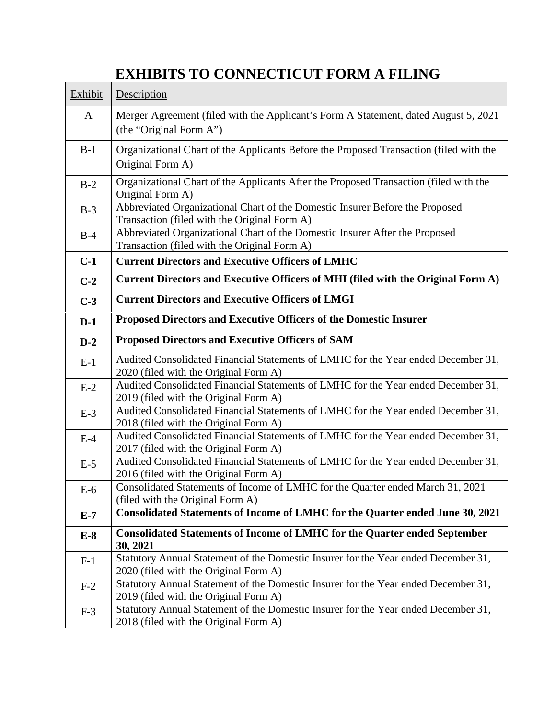## **EXHIBITS TO CONNECTICUT FORM A FILING**

| Exhibit | Description                                                                                                                  |
|---------|------------------------------------------------------------------------------------------------------------------------------|
| A       | Merger Agreement (filed with the Applicant's Form A Statement, dated August 5, 2021<br>(the "Original Form $A$ ")            |
| $B-1$   | Organizational Chart of the Applicants Before the Proposed Transaction (filed with the<br>Original Form A)                   |
| $B-2$   | Organizational Chart of the Applicants After the Proposed Transaction (filed with the<br>Original Form A)                    |
| $B-3$   | Abbreviated Organizational Chart of the Domestic Insurer Before the Proposed<br>Transaction (filed with the Original Form A) |
| $B-4$   | Abbreviated Organizational Chart of the Domestic Insurer After the Proposed<br>Transaction (filed with the Original Form A)  |
| $C-1$   | <b>Current Directors and Executive Officers of LMHC</b>                                                                      |
| $C-2$   | Current Directors and Executive Officers of MHI (filed with the Original Form A)                                             |
| $C-3$   | <b>Current Directors and Executive Officers of LMGI</b>                                                                      |
| $D-1$   | Proposed Directors and Executive Officers of the Domestic Insurer                                                            |
| $D-2$   | <b>Proposed Directors and Executive Officers of SAM</b>                                                                      |
| $E-1$   | Audited Consolidated Financial Statements of LMHC for the Year ended December 31,<br>2020 (filed with the Original Form A)   |
| $E-2$   | Audited Consolidated Financial Statements of LMHC for the Year ended December 31,<br>2019 (filed with the Original Form A)   |
| $E-3$   | Audited Consolidated Financial Statements of LMHC for the Year ended December 31,<br>2018 (filed with the Original Form A)   |
| $E-4$   | Audited Consolidated Financial Statements of LMHC for the Year ended December 31,<br>2017 (filed with the Original Form A)   |
| $E-5$   | Audited Consolidated Financial Statements of LMHC for the Year ended December 31,<br>2016 (filed with the Original Form A)   |
| $E-6$   | Consolidated Statements of Income of LMHC for the Quarter ended March 31, 2021<br>(filed with the Original Form A)           |
| $E-7$   | Consolidated Statements of Income of LMHC for the Quarter ended June 30, 2021                                                |
| $E-8$   | <b>Consolidated Statements of Income of LMHC for the Quarter ended September</b><br>30, 2021                                 |
| $F-1$   | Statutory Annual Statement of the Domestic Insurer for the Year ended December 31,<br>2020 (filed with the Original Form A)  |
| $F-2$   | Statutory Annual Statement of the Domestic Insurer for the Year ended December 31,<br>2019 (filed with the Original Form A)  |
| $F-3$   | Statutory Annual Statement of the Domestic Insurer for the Year ended December 31,<br>2018 (filed with the Original Form A)  |